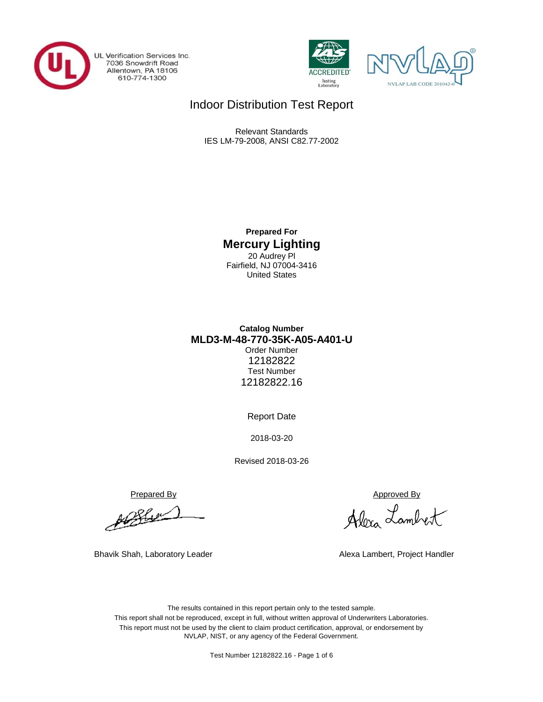

UL Verification Services Inc. 7036 Snowdrift Road<br>Allentown, PA 18106<br>610-774-1300





## Indoor Distribution Test Report

Relevant Standards IES LM-79-2008, ANSI C82.77-2002

> **Prepared For Mercury Lighting** 20 Audrey Pl Fairfield, NJ 07004-3416 United States

## **MLD3-M-48-770-35K-A05-A401-U Catalog Number** Order Number 12182822 Test Number 12182822.16

Report Date

2018-03-20

Revised 2018-03-26

Prepared By Approved By

pb Blue

Bhavik Shah, Laboratory Leader **Alexa Lambert, Project Handler** Alexa Lambert, Project Handler

Alexa Lambert

The results contained in this report pertain only to the tested sample. This report shall not be reproduced, except in full, without written approval of Underwriters Laboratories. This report must not be used by the client to claim product certification, approval, or endorsement by NVLAP, NIST, or any agency of the Federal Government.

Test Number 12182822.16 - Page 1 of 6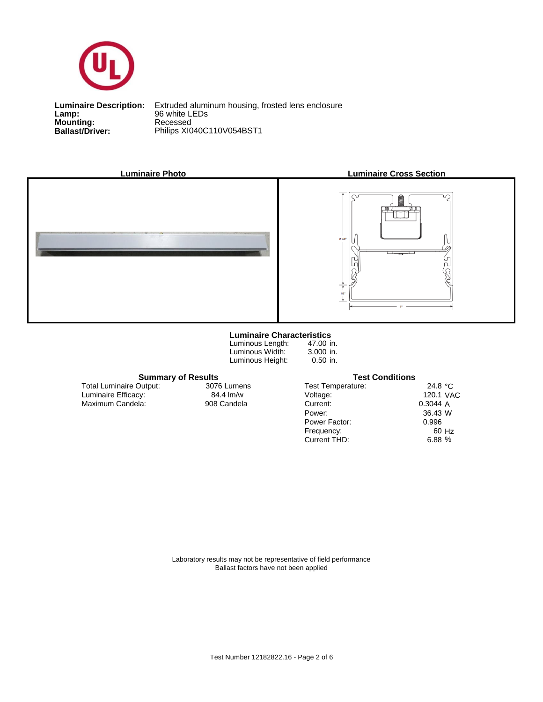

**Lamp:**<br>Mounting:<br>Ballast/Driver: **Lamp:** 96 white LEDs

**Ballast/Driver:** Philips XI040C110V054BST1 **Luminaire Description:** Extruded aluminum housing, frosted lens enclosure



### **Luminaire Characteristics**

Luminous Length: Luminous Width: Luminous Height:

47.00 in. 3.000 in. 0.50 in.

| <b>Summary of Results</b> |             | <b>Test Conditions</b> |                   |  |  |  |  |  |
|---------------------------|-------------|------------------------|-------------------|--|--|--|--|--|
| Output:                   | 3076 Lumens | Test Temperature:      | 24.8 $^{\circ}$ C |  |  |  |  |  |
| CV:                       | 84.4 lm/w   | Voltage:               | 120.1 VAC         |  |  |  |  |  |
| :la:                      | 908 Candela | Current:               | 0.3044A           |  |  |  |  |  |
|                           |             | Power:                 | 36.43 W           |  |  |  |  |  |
|                           |             | Power Factor:          | 0.996             |  |  |  |  |  |
|                           |             | Frequency:             | 60 Hz             |  |  |  |  |  |
|                           |             | Current THD:           | 6.88%             |  |  |  |  |  |

Luminaire Efficacy: Total Luminaire Output:

Maximum Candela: 908 Candela 3076 Lumens

> Laboratory results may not be representative of field performance Ballast factors have not been applied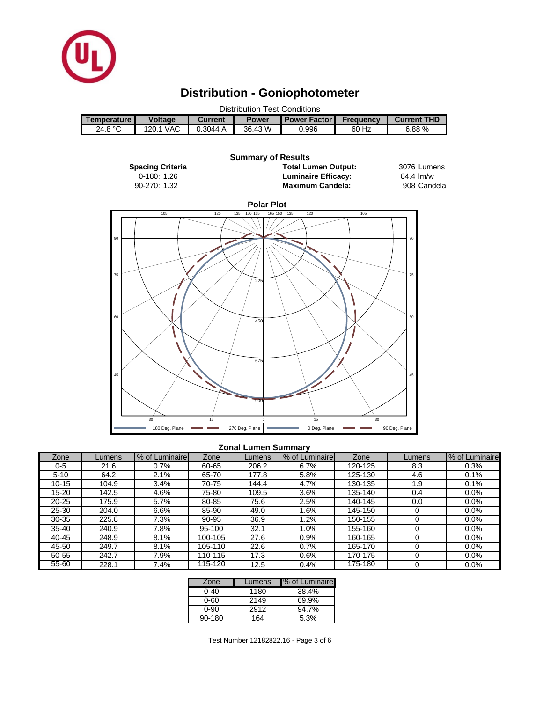

# **Distribution - Goniophotometer**

| <b>Distribution Test Conditions</b> |                |                |              |                         |                  |                    |  |  |  |
|-------------------------------------|----------------|----------------|--------------|-------------------------|------------------|--------------------|--|--|--|
| Temperature I                       | <b>Voltage</b> | <b>Current</b> | <b>Power</b> | <b>I Power Factor I</b> | <b>Frequency</b> | <b>Current THD</b> |  |  |  |
| 24.8 °C                             | 120.1 VAC      | 0.3044A        | 36.43 W      | 0.996                   | 60 Hz            | 6.88%              |  |  |  |
|                                     |                |                |              |                         |                  |                    |  |  |  |



#### **Zonal Lumen Summary**

| Zone      | _umens | % of Luminaire | Zone    | Lumens | % of Luminaire | Zone    | Lumens | % of Luminaire |
|-----------|--------|----------------|---------|--------|----------------|---------|--------|----------------|
| 0-5       | 21.6   | 0.7%           | 60-65   | 206.2  | 6.7%           | 120-125 | 8.3    | 0.3%           |
| $5 - 10$  | 64.2   | $2.1\%$        | 65-70   | 177.8  | 5.8%           | 125-130 | 4.6    | 0.1%           |
| $10 - 15$ | 104.9  | 3.4%           | 70-75   | 144.4  | 4.7%           | 130-135 | 1.9    | 0.1%           |
| 15-20     | 142.5  | 4.6%           | 75-80   | 109.5  | 3.6%           | 135-140 | 0.4    | 0.0%           |
| $20 - 25$ | 175.9  | 5.7%           | 80-85   | 75.6   | 2.5%           | 140-145 | 0.0    | 0.0%           |
| $25 - 30$ | 204.0  | 6.6%           | 85-90   | 49.0   | .6%            | 145-150 |        | $0.0\%$        |
| $30 - 35$ | 225.8  | 7.3%           | 90-95   | 36.9   | .2%            | 150-155 |        | 0.0%           |
| $35 - 40$ | 240.9  | 7.8%           | 95-100  | 32.1   | $1.0\%$        | 155-160 |        | $0.0\%$        |
| 40-45     | 248.9  | 8.1%           | 100-105 | 27.6   | 0.9%           | 160-165 |        | 0.0%           |
| 45-50     | 249.7  | 8.1%           | 105-110 | 22.6   | 0.7%           | 165-170 |        | $0.0\%$        |
| 50-55     | 242.7  | 7.9%           | 110-115 | 17.3   | 0.6%           | 170-175 |        | 0.0%           |
| $55 - 60$ | 228.1  | 7.4%           | 115-120 | 12.5   | 0.4%           | 175-180 |        | 0.0%           |

| Zone     | Lumens | % of Luminaire |
|----------|--------|----------------|
| $0 - 40$ | 1180   | 38.4%          |
| 0-60     | 2149   | 69.9%          |
| 0-90     | 2912   | 94.7%          |
| 90-180   | 164    | 5.3%           |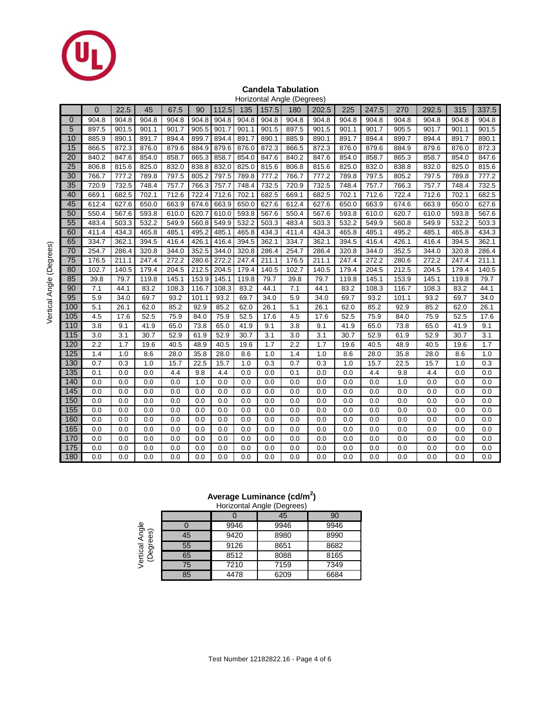

#### **Candela Tabulation** Horizontal Angle (Degrees)

|                  |                |       |       |       |       |       |       |       | Horizonial Angle (Degrees) |         |       |       |       |       |       |       |
|------------------|----------------|-------|-------|-------|-------|-------|-------|-------|----------------------------|---------|-------|-------|-------|-------|-------|-------|
|                  | $\overline{0}$ | 22.5  | 45    | 67.5  | 90    | 112.5 | 135   | 157.5 | 180                        | 202.5   | 225   | 247.5 | 270   | 292.5 | 315   | 337.5 |
| $\mathbf 0$      | 904.8          | 904.8 | 904.8 | 904.8 | 904.8 | 904.8 | 904.8 | 904.8 | 904.8                      | 904.8   | 904.8 | 904.8 | 904.8 | 904.8 | 904.8 | 904.8 |
| 5                | 897.5          | 901.5 | 901.1 | 901.7 | 905.5 | 901.7 | 901.1 | 901.5 | 897.5                      | 901.5   | 901.1 | 901.7 | 905.5 | 901.7 | 901.1 | 901.5 |
| 10               | 885.9          | 890.1 | 891.7 | 894.4 | 899.7 | 894.4 | 891.7 | 890.1 | 885.9                      | 890.1   | 891.7 | 894.4 | 899.7 | 894.4 | 891.7 | 890.1 |
| 15               | 866.5          | 872.3 | 876.0 | 879.6 | 884.9 | 879.6 | 876.0 | 872.3 | 866.5                      | 872.3   | 876.0 | 879.6 | 884.9 | 879.6 | 876.0 | 872.3 |
| 20               | 840.2          | 847.6 | 854.0 | 858.7 | 865.3 | 858.7 | 854.0 | 847.6 | 840.2                      | 847.6   | 854.0 | 858.7 | 865.3 | 858.7 | 854.0 | 847.6 |
| 25               | 806.8          | 815.6 | 825.0 | 832.0 | 838.8 | 832.0 | 825.0 | 815.6 | 806.8                      | 815.6   | 825.0 | 832.0 | 838.8 | 832.0 | 825.0 | 815.6 |
| 30               | 766.7          | 777.2 | 789.8 | 797.5 | 805.2 | 797.5 | 789.8 | 777.2 | 766.7                      | 777.2   | 789.8 | 797.5 | 805.2 | 797.5 | 789.8 | 777.2 |
| 35               | 720.9          | 732.5 | 748.4 | 757.7 | 766.3 | 757.7 | 748.4 | 732.5 | 720.9                      | 732.5   | 748.4 | 757.7 | 766.3 | 757.7 | 748.4 | 732.5 |
| 40               | 669.1          | 682.5 | 702.1 | 712.6 | 722.4 | 712.6 | 702.1 | 682.5 | 669.1                      | 682.5   | 702.1 | 712.6 | 722.4 | 712.6 | 702.1 | 682.5 |
| 45               | 612.4          | 627.6 | 650.0 | 663.9 | 674.6 | 663.9 | 650.0 | 627.6 | 612.4                      | 627.6   | 650.0 | 663.9 | 674.6 | 663.9 | 650.0 | 627.6 |
| 50               | 550.4          | 567.6 | 593.8 | 610.0 | 620.7 | 610.0 | 593.8 | 567.6 | 550.4                      | 567.6   | 593.8 | 610.0 | 620.7 | 610.0 | 593.8 | 567.6 |
| 55               | 483.4          | 503.3 | 532.2 | 549.9 | 560.8 | 549.9 | 532.2 | 503.3 | 483.4                      | 503.3   | 532.2 | 549.9 | 560.8 | 549.9 | 532.2 | 503.3 |
| 60               | 411.4          | 434.3 | 465.8 | 485.1 | 495.2 | 485.1 | 465.8 | 434.3 | 411.4                      | 434.3   | 465.8 | 485.1 | 495.2 | 485.1 | 465.8 | 434.3 |
| 65               | 334.7          | 362.1 | 394.5 | 416.4 | 426.1 | 416.4 | 394.5 | 362.1 | 334.7                      | 362.1   | 394.5 | 416.4 | 426.1 | 416.4 | 394.5 | 362.1 |
| 70               | 254.7          | 286.4 | 320.8 | 344.0 | 352.5 | 344.0 | 320.8 | 286.4 | 254.7                      | 286.4   | 320.8 | 344.0 | 352.5 | 344.0 | 320.8 | 286.4 |
| 75               | 176.5          | 211.1 | 247.4 | 272.2 | 280.6 | 272.2 | 247.4 | 211.1 | 176.5                      | 211.1   | 247.4 | 272.2 | 280.6 | 272.2 | 247.4 | 211.1 |
| 80               | 102.7          | 140.5 | 179.4 | 204.5 | 212.5 | 204.5 | 179.4 | 140.5 | 102.7                      | 140.5   | 179.4 | 204.5 | 212.5 | 204.5 | 179.4 | 140.5 |
| 85               | 39.8           | 79.7  | 119.8 | 145.1 | 153.9 | 145.1 | 119.8 | 79.7  | 39.8                       | 79.7    | 119.8 | 145.1 | 153.9 | 145.1 | 119.8 | 79.7  |
| 90               | 7.1            | 44.1  | 83.2  | 108.3 | 116.7 | 108.3 | 83.2  | 44.1  | 7.1                        | 44.1    | 83.2  | 108.3 | 116.7 | 108.3 | 83.2  | 44.1  |
| 95               | 5.9            | 34.0  | 69.7  | 93.2  | 101.1 | 93.2  | 69.7  | 34.0  | 5.9                        | 34.0    | 69.7  | 93.2  | 101.1 | 93.2  | 69.7  | 34.0  |
| 100              | 5.1            | 26.1  | 62.0  | 85.2  | 92.9  | 85.2  | 62.0  | 26.1  | 5.1                        | 26.1    | 62.0  | 85.2  | 92.9  | 85.2  | 62.0  | 26.1  |
| 105              | 4.5            | 17.6  | 52.5  | 75.9  | 84.0  | 75.9  | 52.5  | 17.6  | 4.5                        | 17.6    | 52.5  | 75.9  | 84.0  | 75.9  | 52.5  | 17.6  |
| 110              | 3.8            | 9.1   | 41.9  | 65.0  | 73.8  | 65.0  | 41.9  | 9.1   | 3.8                        | 9.1     | 41.9  | 65.0  | 73.8  | 65.0  | 41.9  | 9.1   |
| 115              | 3.0            | 3.1   | 30.7  | 52.9  | 61.9  | 52.9  | 30.7  | 3.1   | 3.0                        | 3.1     | 30.7  | 52.9  | 61.9  | 52.9  | 30.7  | 3.1   |
| 120              | 2.2            | 1.7   | 19.6  | 40.5  | 48.9  | 40.5  | 19.6  | 1.7   | 2.2                        | 1.7     | 19.6  | 40.5  | 48.9  | 40.5  | 19.6  | 1.7   |
| 125              | 1.4            | 1.0   | 8.6   | 28.0  | 35.8  | 28.0  | 8.6   | 1.0   | 1.4                        | 1.0     | 8.6   | 28.0  | 35.8  | 28.0  | 8.6   | 1.0   |
| 130              | 0.7            | 0.3   | 1.0   | 15.7  | 22.5  | 15.7  | 1.0   | 0.3   | 0.7                        | 0.3     | 1.0   | 15.7  | 22.5  | 15.7  | 1.0   | 0.3   |
| 135              | 0.1            | 0.0   | 0.0   | 4.4   | 9.8   | 4.4   | 0.0   | 0.0   | 0.1                        | 0.0     | 0.0   | 4.4   | 9.8   | 4.4   | 0.0   | 0.0   |
| 140              | 0.0            | 0.0   | 0.0   | 0.0   | 1.0   | 0.0   | 0.0   | 0.0   | 0.0                        | $0.0\,$ | 0.0   | 0.0   | 1.0   | 0.0   | 0.0   | 0.0   |
| 145              | 0.0            | 0.0   | 0.0   | 0.0   | 0.0   | 0.0   | 0.0   | 0.0   | 0.0                        | 0.0     | 0.0   | 0.0   | 0.0   | 0.0   | 0.0   | 0.0   |
| 150              | 0.0            | 0.0   | 0.0   | 0.0   | 0.0   | 0.0   | 0.0   | 0.0   | 0.0                        | 0.0     | 0.0   | 0.0   | 0.0   | 0.0   | 0.0   | 0.0   |
| 155              | 0.0            | 0.0   | 0.0   | 0.0   | 0.0   | 0.0   | 0.0   | 0.0   | 0.0                        | 0.0     | 0.0   | 0.0   | 0.0   | 0.0   | 0.0   | 0.0   |
| 160              | 0.0            | 0.0   | 0.0   | 0.0   | 0.0   | 0.0   | 0.0   | 0.0   | 0.0                        | 0.0     | 0.0   | 0.0   | 0.0   | 0.0   | 0.0   | 0.0   |
| 165              | 0.0            | 0.0   | 0.0   | 0.0   | 0.0   | 0.0   | 0.0   | 0.0   | 0.0                        | 0.0     | 0.0   | 0.0   | 0.0   | 0.0   | 0.0   | 0.0   |
| 170              | 0.0            | 0.0   | 0.0   | 0.0   | 0.0   | 0.0   | 0.0   | 0.0   | 0.0                        | 0.0     | 0.0   | 0.0   | 0.0   | 0.0   | 0.0   | 0.0   |
| $\overline{175}$ | 0.0            | 0.0   | 0.0   | 0.0   | 0.0   | 0.0   | 0.0   | 0.0   | 0.0                        | 0.0     | 0.0   | 0.0   | 0.0   | 0.0   | 0.0   | 0.0   |
| 180              | 0.0            | 0.0   | 0.0   | 0.0   | 0.0   | 0.0   | 0.0   | 0.0   | 0.0                        | 0.0     | 0.0   | 0.0   | 0.0   | 0.0   | 0.0   | 0.0   |

### **Average Luminance (cd/m<sup>2</sup> )**

|                                                      |    |      | Horizontal Angle (Degrees) |      |  |
|------------------------------------------------------|----|------|----------------------------|------|--|
|                                                      |    |      | 45                         | 90   |  |
| Angle<br>aes)<br>ğΰ<br>Vertical<br>(Degre<br>еğ<br>Ф |    | 9946 | 9946                       | 9946 |  |
|                                                      | 45 | 9420 | 8980                       | 8990 |  |
|                                                      | 55 | 9126 | 8651                       | 8682 |  |
|                                                      | 65 | 8512 | 8088                       | 8165 |  |
|                                                      | 75 | 7210 | 7159                       | 7349 |  |
|                                                      | 85 | 4478 | 6209                       | 6684 |  |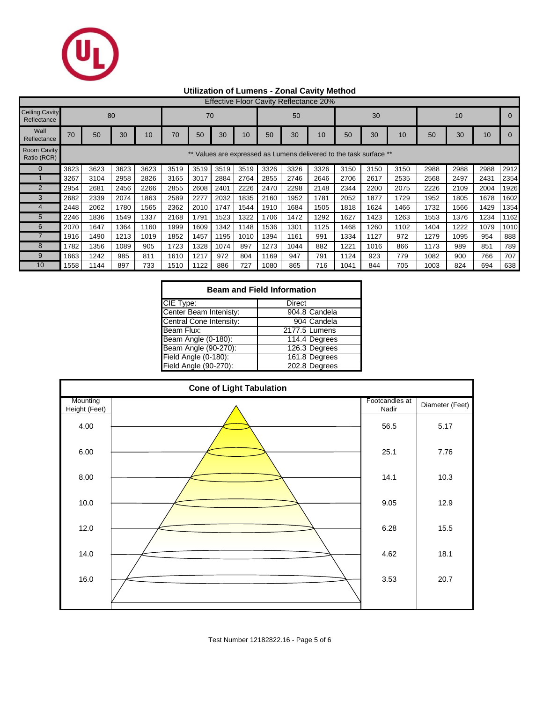

## **Utilization of Lumens - Zonal Cavity Method**

| <b>Effective Floor Cavity Reflectance 20%</b> |                                                                 |      |      |      |      |      |      |      |      |      |      |      |      |      |      |      |      |      |
|-----------------------------------------------|-----------------------------------------------------------------|------|------|------|------|------|------|------|------|------|------|------|------|------|------|------|------|------|
| <b>Ceiling Cavity</b><br>Reflectance          | 80<br>70                                                        |      |      |      |      |      |      | 50   |      |      | 30   |      |      | 10   |      |      |      |      |
| Wall<br>Reflectance                           | 70                                                              | 50   | 30   | 10   | 70   | 50   | 30   | 10   | 50   | 30   | 10   | 50   | 30   | 10   | 50   | 30   | 10   |      |
| <b>Room Cavity</b><br>Ratio (RCR)             | Values are expressed as Lumens delivered to the task surface ** |      |      |      |      |      |      |      |      |      |      |      |      |      |      |      |      |      |
| $\Omega$                                      | 3623                                                            | 3623 | 3623 | 3623 | 3519 | 3519 | 3519 | 3519 | 3326 | 3326 | 3326 | 3150 | 3150 | 3150 | 2988 | 2988 | 2988 | 2912 |
|                                               | 3267                                                            | 3104 | 2958 | 2826 | 3165 | 3017 | 2884 | 2764 | 2855 | 2746 | 2646 | 2706 | 2617 | 2535 | 2568 | 2497 | 2431 | 2354 |
| $\overline{2}$                                | 2954                                                            | 2681 | 2456 | 2266 | 2855 | 2608 | 2401 | 2226 | 2470 | 2298 | 2148 | 2344 | 2200 | 2075 | 2226 | 2109 | 2004 | 1926 |
| 3                                             | 2682                                                            | 2339 | 2074 | 1863 | 2589 | 2277 | 2032 | 1835 | 2160 | 1952 | 1781 | 2052 | 1877 | 1729 | 1952 | 1805 | 1678 | 1602 |
|                                               | 2448                                                            | 2062 | 1780 | 1565 | 2362 | 2010 | 1747 | 1544 | 1910 | 1684 | 1505 | 1818 | 1624 | 1466 | 1732 | 1566 | 1429 | 1354 |
| 5                                             | 2246                                                            | 1836 | 1549 | 1337 | 2168 | 1791 | 1523 | 1322 | 1706 | 1472 | 1292 | 1627 | 1423 | 1263 | 1553 | 1376 | 1234 | 1162 |
| 6                                             | 2070                                                            | 1647 | 1364 | 1160 | 1999 | 1609 | 1342 | 1148 | 1536 | 1301 | 1125 | 1468 | 1260 | 1102 | 1404 | 1222 | 1079 | 1010 |
|                                               | 1916                                                            | 1490 | 1213 | 1019 | 1852 | 1457 | 1195 | 1010 | 1394 | 1161 | 991  | 1334 | 1127 | 972  | 1279 | 1095 | 954  | 888  |
| 8                                             | 1782                                                            | 1356 | 1089 | 905  | 1723 | 1328 | 1074 | 897  | 1273 | 1044 | 882  | 1221 | 1016 | 866  | 1173 | 989  | 851  | 789  |
| 9                                             | 1663                                                            | 1242 | 985  | 811  | 1610 | 1217 | 972  | 804  | 1169 | 947  | 791  | 1124 | 923  | 779  | 1082 | 900  | 766  | 707  |
| 10                                            | 1558                                                            | 1144 | 897  | 733  | 1510 | 1122 | 886  | 727  | 1080 | 865  | 716  | 1041 | 844  | 705  | 1003 | 824  | 694  | 638  |

| <b>Beam and Field Information</b> |               |  |  |  |  |  |  |  |
|-----------------------------------|---------------|--|--|--|--|--|--|--|
| CIE Type:                         | Direct        |  |  |  |  |  |  |  |
| Center Beam Intenisty:            | 904.8 Candela |  |  |  |  |  |  |  |
| Central Cone Intensity:           | 904 Candela   |  |  |  |  |  |  |  |
| Beam Flux:                        | 2177.5 Lumens |  |  |  |  |  |  |  |
| Beam Angle (0-180):               | 114.4 Degrees |  |  |  |  |  |  |  |
| Beam Angle (90-270):              | 126.3 Degrees |  |  |  |  |  |  |  |
| Field Angle (0-180):              | 161.8 Degrees |  |  |  |  |  |  |  |
| Field Angle (90-270):             | 202.8 Degrees |  |  |  |  |  |  |  |